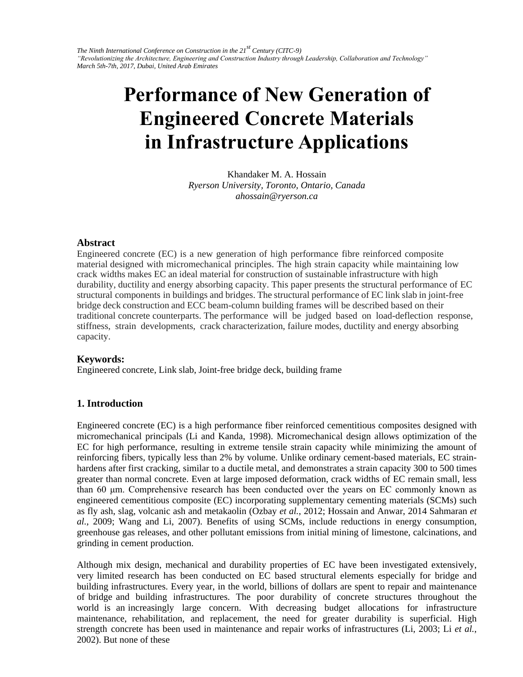# **Performance of New Generation of Engineered Concrete Materials in Infrastructure Applications**

Khandaker M. A. Hossain *Ryerson University, Toronto, Ontario, Canada ahossain@ryerson.ca* 

## **Abstract**

Engineered concrete (EC) is a new generation of high performance fibre reinforced composite material designed with micromechanical principles. The high strain capacity while maintaining low crack widths makes EC an ideal material for construction of sustainable infrastructure with high durability, ductility and energy absorbing capacity. This paper presents the structural performance of EC structural components in buildings and bridges. The structural performance of EC link slab in joint-free bridge deck construction and ECC beam-column building frames will be described based on their traditional concrete counterparts. The performance will be judged based on load-deflection response, stiffness, strain developments, crack characterization, failure modes, ductility and energy absorbing capacity.

# **Keywords:**

Engineered concrete, Link slab, Joint-free bridge deck, building frame

# **1. Introduction**

Engineered concrete (EC) is a high performance fiber reinforced cementitious composites designed with micromechanical principals (Li and Kanda, 1998). Micromechanical design allows optimization of the EC for high performance, resulting in extreme tensile strain capacity while minimizing the amount of reinforcing fibers, typically less than 2% by volume. Unlike ordinary cement-based materials, EC strainhardens after first cracking, similar to a ductile metal, and demonstrates a strain capacity 300 to 500 times greater than normal concrete. Even at large imposed deformation, crack widths of EC remain small, less than 60 μm. Comprehensive research has been conducted over the years on EC commonly known as engineered cementitious composite (EC) incorporating supplementary cementing materials (SCMs) such as fly ash, slag, volcanic ash and metakaolin (Ozbay *et al.*, 2012; Hossain and Anwar, 2014 Sahmaran *et al.*, 2009; Wang and Li, 2007). Benefits of using SCMs, include reductions in energy consumption, greenhouse gas releases, and other pollutant emissions from initial mining of limestone, calcinations, and grinding in cement production.

Although mix design, mechanical and durability properties of EC have been investigated extensively, very limited research has been conducted on EC based structural elements especially for bridge and building infrastructures. Every year, in the world, billions of dollars are spent to repair and maintenance of bridge and building infrastructures. The poor durability of concrete structures throughout the world is an increasingly large concern. With decreasing budget allocations for infrastructure maintenance, rehabilitation, and replacement, the need for greater durability is superficial. High strength concrete has been used in maintenance and repair works of infrastructures (Li, 2003; Li *et al.*, 2002). But none of these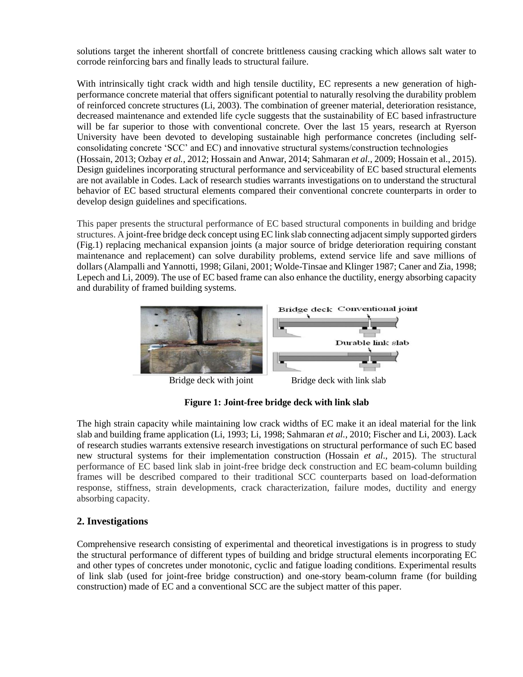solutions target the inherent shortfall of concrete brittleness causing cracking which allows salt water to corrode reinforcing bars and finally leads to structural failure.

With intrinsically tight crack width and high tensile ductility, EC represents a new generation of highperformance concrete material that offers significant potential to naturally resolving the durability problem of reinforced concrete structures (Li, 2003). The combination of greener material, deterioration resistance, decreased maintenance and extended life cycle suggests that the sustainability of EC based infrastructure will be far superior to those with conventional concrete. Over the last 15 years, research at Ryerson University have been devoted to developing sustainable high performance concretes (including selfconsolidating concrete 'SCC' and EC) and innovative structural systems/construction technologies (Hossain, 2013; Ozbay *et al.*, 2012; Hossain and Anwar, 2014; Sahmaran *et al.*, 2009; Hossain et al., 2015). Design guidelines incorporating structural performance and serviceability of EC based structural elements are not available in Codes. Lack of research studies warrants investigations on to understand the structural behavior of EC based structural elements compared their conventional concrete counterparts in order to develop design guidelines and specifications.

This paper presents the structural performance of EC based structural components in building and bridge structures. A joint-free bridge deck concept using EC link slab connecting adjacent simply supported girders (Fig.1) replacing mechanical expansion joints (a major source of bridge deterioration requiring constant maintenance and replacement) can solve durability problems, extend service life and save millions of dollars (Alampalli and Yannotti, 1998; Gilani, 2001; Wolde-Tinsae and Klinger 1987; Caner and Zia, 1998; Lepech and Li, 2009). The use of EC based frame can also enhance the ductility, energy absorbing capacity and durability of framed building systems.



**Figure 1: Joint-free bridge deck with link slab** 

The high strain capacity while maintaining low crack widths of EC make it an ideal material for the link slab and building frame application (Li, 1993; Li, 1998; Sahmaran *et al.*, 2010; Fischer and Li, 2003). Lack of research studies warrants extensive research investigations on structural performance of such EC based new structural systems for their implementation construction (Hossain *et al*., 2015). The structural performance of EC based link slab in joint-free bridge deck construction and EC beam-column building frames will be described compared to their traditional SCC counterparts based on load-deformation response, stiffness, strain developments, crack characterization, failure modes, ductility and energy absorbing capacity.

# **2. Investigations**

Comprehensive research consisting of experimental and theoretical investigations is in progress to study the structural performance of different types of building and bridge structural elements incorporating EC and other types of concretes under monotonic, cyclic and fatigue loading conditions. Experimental results of link slab (used for joint-free bridge construction) and one-story beam-column frame (for building construction) made of EC and a conventional SCC are the subject matter of this paper.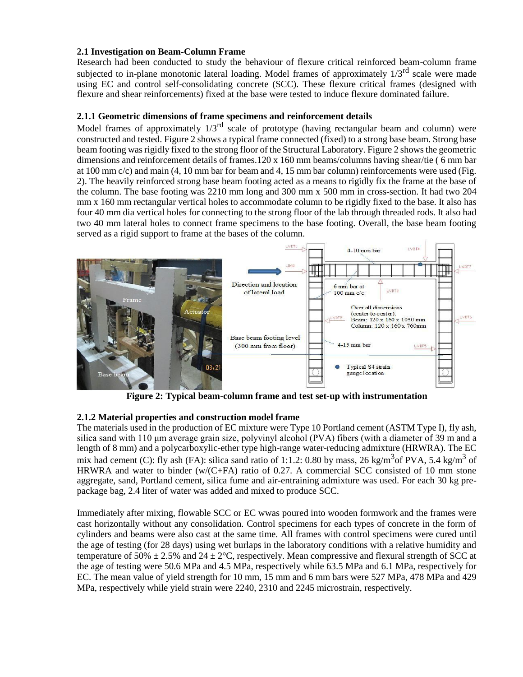## **2.1 Investigation on Beam-Column Frame**

Research had been conducted to study the behaviour of flexure critical reinforced beam-column frame subjected to in-plane monotonic lateral loading. Model frames of approximately  $1/3^{rd}$  scale were made using EC and control self-consolidating concrete (SCC). These flexure critical frames (designed with flexure and shear reinforcements) fixed at the base were tested to induce flexure dominated failure.

## **2.1.1 Geometric dimensions of frame specimens and reinforcement details**

Model frames of approximately  $1/3^{rd}$  scale of prototype (having rectangular beam and column) were constructed and tested. Figure 2 shows a typical frame connected (fixed) to a strong base beam. Strong base beam footing was rigidly fixed to the strong floor of the Structural Laboratory. Figure 2 shows the geometric dimensions and reinforcement details of frames.120 x 160 mm beams/columns having shear/tie ( 6 mm bar at 100 mm c/c) and main (4, 10 mm bar for beam and 4, 15 mm bar column) reinforcements were used (Fig. 2). The heavily reinforced strong base beam footing acted as a means to rigidly fix the frame at the base of the column. The base footing was 2210 mm long and 300 mm x 500 mm in cross-section. It had two 204 mm x 160 mm rectangular vertical holes to accommodate column to be rigidly fixed to the base. It also has four 40 mm dia vertical holes for connecting to the strong floor of the lab through threaded rods. It also had two 40 mm lateral holes to connect frame specimens to the base footing. Overall, the base beam footing served as a rigid support to frame at the bases of the column.



**Figure 2: Typical beam-column frame and test set-up with instrumentation**

# **2.1.2 Material properties and construction model frame**

The materials used in the production of EC mixture were Type 10 Portland cement (ASTM Type I), fly ash, silica sand with 110 μm average grain size, polyvinyl alcohol (PVA) fibers (with a diameter of 39 m and a length of 8 mm) and a polycarboxylic-ether type high-range water-reducing admixture (HRWRA). The EC mix had cement (C): fly ash (FA): silica sand ratio of 1:1.2: 0.80 by mass, 26 kg/m<sup>3</sup> of PVA, 5.4 kg/m<sup>3</sup> of HRWRA and water to binder (w/(C+FA) ratio of 0.27. A commercial SCC consisted of 10 mm stone aggregate, sand, Portland cement, silica fume and air-entraining admixture was used. For each 30 kg prepackage bag, 2.4 liter of water was added and mixed to produce SCC.

Immediately after mixing, flowable SCC or EC wwas poured into wooden formwork and the frames were cast horizontally without any consolidation. Control specimens for each types of concrete in the form of cylinders and beams were also cast at the same time. All frames with control specimens were cured until the age of testing (for 28 days) using wet burlaps in the laboratory conditions with a relative humidity and temperature of 50%  $\pm$  2.5% and 24  $\pm$  2°C, respectively. Mean compressive and flexural strength of SCC at the age of testing were 50.6 MPa and 4.5 MPa, respectively while 63.5 MPa and 6.1 MPa, respectively for EC. The mean value of yield strength for 10 mm, 15 mm and 6 mm bars were 527 MPa, 478 MPa and 429 MPa, respectively while yield strain were 2240, 2310 and 2245 microstrain, respectively.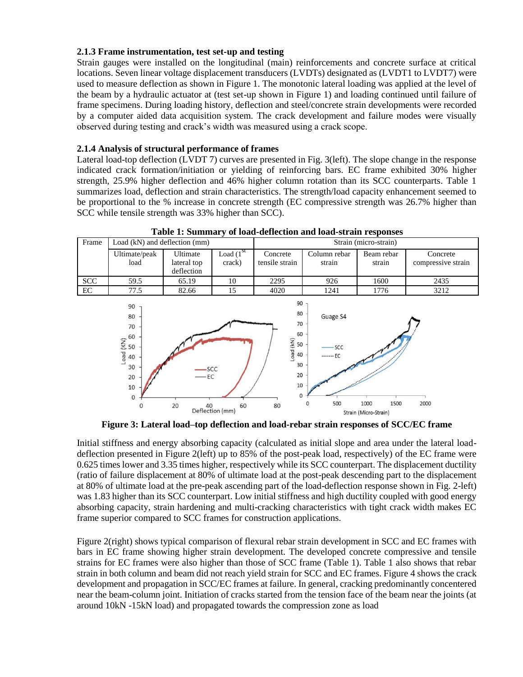## **2.1.3 Frame instrumentation, test set-up and testing**

Strain gauges were installed on the longitudinal (main) reinforcements and concrete surface at critical locations. Seven linear voltage displacement transducers (LVDTs) designated as (LVDT1 to LVDT7) were used to measure deflection as shown in Figure 1. The monotonic lateral loading was applied at the level of the beam by a hydraulic actuator at (test set-up shown in Figure 1) and loading continued until failure of frame specimens. During loading history, deflection and steel/concrete strain developments were recorded by a computer aided data acquisition system. The crack development and failure modes were visually observed during testing and crack's width was measured using a crack scope.

## **2.1.4 Analysis of structural performance of frames**

Lateral load-top deflection (LVDT 7) curves are presented in Fig. 3(left). The slope change in the response indicated crack formation/initiation or yielding of reinforcing bars. EC frame exhibited 30% higher strength, 25.9% higher deflection and 46% higher column rotation than its SCC counterparts. Table 1 summarizes load, deflection and strain characteristics. The strength/load capacity enhancement seemed to be proportional to the % increase in concrete strength (EC compressive strength was 26.7% higher than SCC while tensile strength was 33% higher than SCC).

| Frame      | Load (kN) and deflection (mm) |                                       |                                                     | Strain (micro-strain)      |                        |                      |                                |
|------------|-------------------------------|---------------------------------------|-----------------------------------------------------|----------------------------|------------------------|----------------------|--------------------------------|
|            | Ultimate/peak<br>load         | Ultimate<br>lateral top<br>deflection | $\overline{\text{Load}}$ (1 <sup>st</sup><br>crack) | Concrete<br>tensile strain | Column rebar<br>strain | Beam rebar<br>strain | Concrete<br>compressive strain |
| <b>SCC</b> | 59.5                          | 65.19                                 | 10                                                  | 2295                       | 926                    | 1600                 | 2435                           |
| EC         | 77.5                          | 82.66                                 | 15                                                  | 4020                       | 1241                   | 1776                 | 3212                           |
|            |                               |                                       |                                                     |                            |                        |                      |                                |

**Table 1: Summary of load-deflection and load-strain responses**



**Figure 3: Lateral load–top deflection and load-rebar strain responses of SCC/EC frame**

Initial stiffness and energy absorbing capacity (calculated as initial slope and area under the lateral loaddeflection presented in Figure 2(left) up to 85% of the post-peak load, respectively) of the EC frame were 0.625 times lower and 3.35 times higher, respectively while its SCC counterpart. The displacement ductility (ratio of failure displacement at 80% of ultimate load at the post-peak descending part to the displacement at 80% of ultimate load at the pre-peak ascending part of the load-deflection response shown in Fig. 2-left) was 1.83 higher than its SCC counterpart. Low initial stiffness and high ductility coupled with good energy absorbing capacity, strain hardening and multi-cracking characteristics with tight crack width makes EC frame superior compared to SCC frames for construction applications.

Figure 2(right) shows typical comparison of flexural rebar strain development in SCC and EC frames with bars in EC frame showing higher strain development. The developed concrete compressive and tensile strains for EC frames were also higher than those of SCC frame (Table 1). Table 1 also shows that rebar strain in both column and beam did not reach yield strain for SCC and EC frames. Figure 4 shows the crack development and propagation in SCC/EC frames at failure. In general, cracking predominantly concentered near the beam-column joint. Initiation of cracks started from the tension face of the beam near the joints (at around 10kN -15kN load) and propagated towards the compression zone as load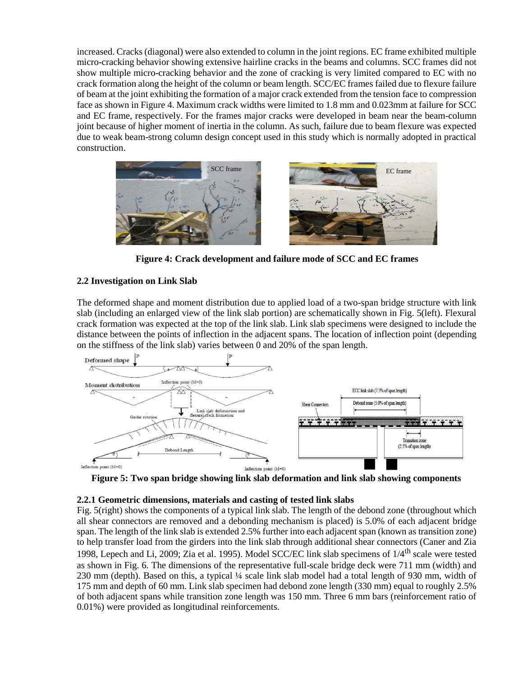increased. Cracks (diagonal) were also extended to column in the joint regions. EC frame exhibited multiple micro-cracking behavior showing extensive hairline cracks in the beams and columns. SCC frames did not show multiple micro-cracking behavior and the zone of cracking is very limited compared to EC with no crack formation along the height of the column or beam length. SCC/EC frames failed due to flexure failure of beam at the joint exhibiting the formation of a major crack extended from the tension face to compression face as shown in Figure 4. Maximum crack widths were limited to 1.8 mm and 0.023mm at failure for SCC and EC frame, respectively. For the frames major cracks were developed in beam near the beam-column joint because of higher moment of inertia in the column. As such, failure due to beam flexure was expected due to weak beam-strong column design concept used in this study which is normally adopted in practical construction.



**Figure 4: Crack development and failure mode of SCC and EC frames**

#### **2.2 Investigation on Link Slab**

The deformed shape and moment distribution due to applied load of a two-span bridge structure with link slab (including an enlarged view of the link slab portion) are schematically shown in Fig. 5(left). Flexural crack formation was expected at the top of the link slab. Link slab specimens were designed to include the distance between the points of inflection in the adjacent spans. The location of inflection point (depending on the stiffness of the link slab) varies between 0 and 20% of the span length.



**Figure 5: Two span bridge showing link slab deformation and link slab showing components**

#### **2.2.1 Geometric dimensions, materials and casting of tested link slabs**

Fig. 5(right) shows the components of a typical link slab. The length of the debond zone (throughout which all shear connectors are removed and a debonding mechanism is placed) is 5.0% of each adjacent bridge span. The length of the link slab is extended 2.5% further into each adjacent span (known as transition zone) to help transfer load from the girders into the link slab through additional shear connectors (Caner and Zia 1998, Lepech and Li, 2009; Zia et al. 1995). Model SCC/EC link slab specimens of 1/4th scale were tested as shown in Fig. 6. The dimensions of the representative full-scale bridge deck were 711 mm (width) and 230 mm (depth). Based on this, a typical ¼ scale link slab model had a total length of 930 mm, width of 175 mm and depth of 60 mm. Link slab specimen had debond zone length (330 mm) equal to roughly 2.5% of both adjacent spans while transition zone length was 150 mm. Three 6 mm bars (reinforcement ratio of 0.01%) were provided as longitudinal reinforcements.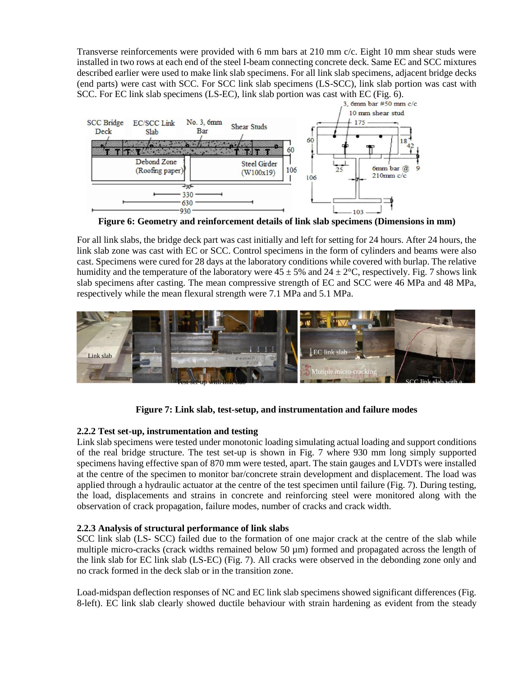Transverse reinforcements were provided with 6 mm bars at 210 mm c/c. Eight 10 mm shear studs were installed in two rows at each end of the steel I-beam connecting concrete deck. Same EC and SCC mixtures described earlier were used to make link slab specimens. For all link slab specimens, adjacent bridge decks (end parts) were cast with SCC. For SCC link slab specimens (LS-SCC), link slab portion was cast with SCC. For EC link slab specimens (LS-EC), link slab portion was cast with EC (Fig. 6).<br>3, 6mm bar #50 mm c/c.



**Figure 6: Geometry and reinforcement details of link slab specimens (Dimensions in mm)**

For all link slabs, the bridge deck part was cast initially and left for setting for 24 hours. After 24 hours, the link slab zone was cast with EC or SCC. Control specimens in the form of cylinders and beams were also cast. Specimens were cured for 28 days at the laboratory conditions while covered with burlap. The relative humidity and the temperature of the laboratory were  $45 \pm 5\%$  and  $24 \pm 2\degree$ C, respectively. Fig. 7 shows link slab specimens after casting. The mean compressive strength of EC and SCC were 46 MPa and 48 MPa, respectively while the mean flexural strength were 7.1 MPa and 5.1 MPa.



**Figure 7: Link slab, test-setup, and instrumentation and failure modes**

# **2.2.2 Test set-up, instrumentation and testing**

Link slab specimens were tested under monotonic loading simulating actual loading and support conditions of the real bridge structure. The test set-up is shown in Fig. 7 where 930 mm long simply supported specimens having effective span of 870 mm were tested, apart. The stain gauges and LVDTs were installed at the centre of the specimen to monitor bar/concrete strain development and displacement. The load was applied through a hydraulic actuator at the centre of the test specimen until failure (Fig. 7). During testing, the load, displacements and strains in concrete and reinforcing steel were monitored along with the observation of crack propagation, failure modes, number of cracks and crack width.

#### **2.2.3 Analysis of structural performance of link slabs**

SCC link slab (LS- SCC) failed due to the formation of one major crack at the centre of the slab while multiple micro-cracks (crack widths remained below 50  $\mu$ m) formed and propagated across the length of the link slab for EC link slab (LS-EC) (Fig. 7). All cracks were observed in the debonding zone only and no crack formed in the deck slab or in the transition zone.

Load-midspan deflection responses of NC and EC link slab specimens showed significant differences (Fig. 8-left). EC link slab clearly showed ductile behaviour with strain hardening as evident from the steady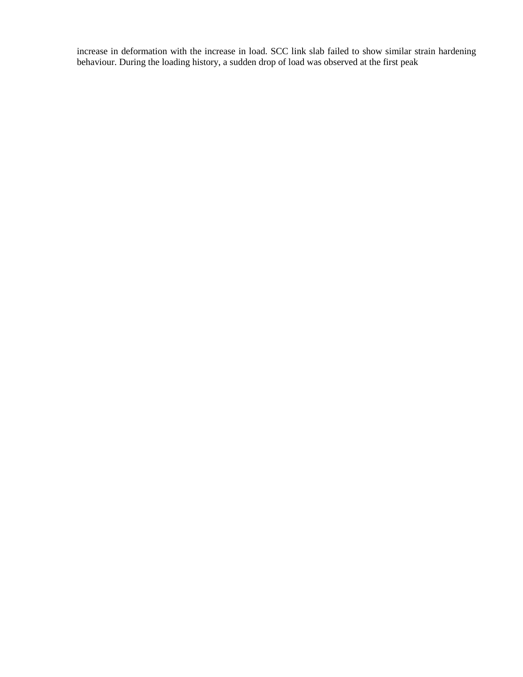increase in deformation with the increase in load. SCC link slab failed to show similar strain hardening behaviour. During the loading history, a sudden drop of load was observed at the first peak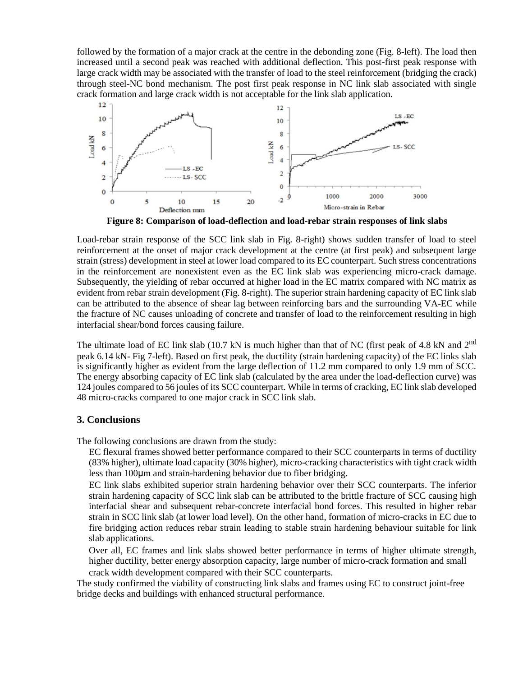followed by the formation of a major crack at the centre in the debonding zone (Fig. 8-left). The load then increased until a second peak was reached with additional deflection. This post-first peak response with large crack width may be associated with the transfer of load to the steel reinforcement (bridging the crack) through steel-NC bond mechanism. The post first peak response in NC link slab associated with single crack formation and large crack width is not acceptable for the link slab application.



**Figure 8: Comparison of load-deflection and load-rebar strain responses of link slabs**

Load-rebar strain response of the SCC link slab in Fig. 8-right) shows sudden transfer of load to steel reinforcement at the onset of major crack development at the centre (at first peak) and subsequent large strain (stress) development in steel at lower load compared to its EC counterpart. Such stress concentrations in the reinforcement are nonexistent even as the EC link slab was experiencing micro-crack damage. Subsequently, the yielding of rebar occurred at higher load in the EC matrix compared with NC matrix as evident from rebar strain development (Fig. 8-right). The superior strain hardening capacity of EC link slab can be attributed to the absence of shear lag between reinforcing bars and the surrounding VA-EC while the fracture of NC causes unloading of concrete and transfer of load to the reinforcement resulting in high interfacial shear/bond forces causing failure.

The ultimate load of EC link slab (10.7 kN is much higher than that of NC (first peak of 4.8 kN and 2<sup>nd</sup> peak 6.14 kN- Fig 7-left). Based on first peak, the ductility (strain hardening capacity) of the EC links slab is significantly higher as evident from the large deflection of 11.2 mm compared to only 1.9 mm of SCC. The energy absorbing capacity of EC link slab (calculated by the area under the load-deflection curve) was 124 joules compared to 56 joules of its SCC counterpart. While in terms of cracking, EC link slab developed 48 micro-cracks compared to one major crack in SCC link slab.

# **3. Conclusions**

The following conclusions are drawn from the study:

EC flexural frames showed better performance compared to their SCC counterparts in terms of ductility (83% higher), ultimate load capacity (30% higher), micro-cracking characteristics with tight crack width less than 100μm and strain-hardening behavior due to fiber bridging.

EC link slabs exhibited superior strain hardening behavior over their SCC counterparts. The inferior strain hardening capacity of SCC link slab can be attributed to the brittle fracture of SCC causing high interfacial shear and subsequent rebar-concrete interfacial bond forces. This resulted in higher rebar strain in SCC link slab (at lower load level). On the other hand, formation of micro-cracks in EC due to fire bridging action reduces rebar strain leading to stable strain hardening behaviour suitable for link slab applications.

Over all, EC frames and link slabs showed better performance in terms of higher ultimate strength, higher ductility, better energy absorption capacity, large number of micro-crack formation and small

crack width development compared with their SCC counterparts.

The study confirmed the viability of constructing link slabs and frames using EC to construct joint-free bridge decks and buildings with enhanced structural performance.